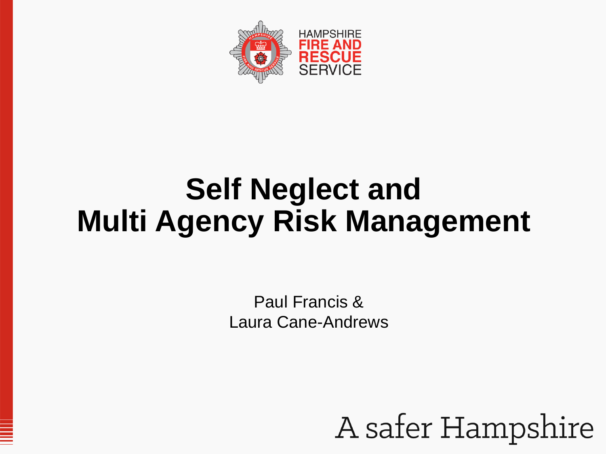

# **Self Neglect and Multi Agency Risk Management**

Paul Francis & Laura Cane-Andrews

A safer Hampshire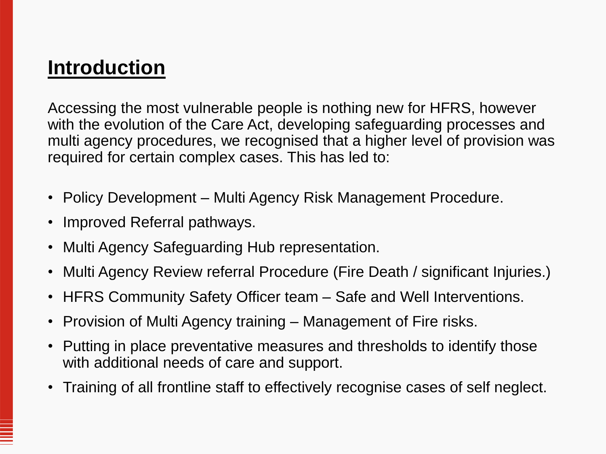# **Introduction**

Accessing the most vulnerable people is nothing new for HFRS, however with the evolution of the Care Act, developing safeguarding processes and multi agency procedures, we recognised that a higher level of provision was required for certain complex cases. This has led to:

- Policy Development Multi Agency Risk Management Procedure.
- Improved Referral pathways.
- Multi Agency Safeguarding Hub representation.
- Multi Agency Review referral Procedure (Fire Death / significant Injuries.)
- HFRS Community Safety Officer team Safe and Well Interventions.
- Provision of Multi Agency training Management of Fire risks.
- Putting in place preventative measures and thresholds to identify those with additional needs of care and support.
- Training of all frontline staff to effectively recognise cases of self neglect.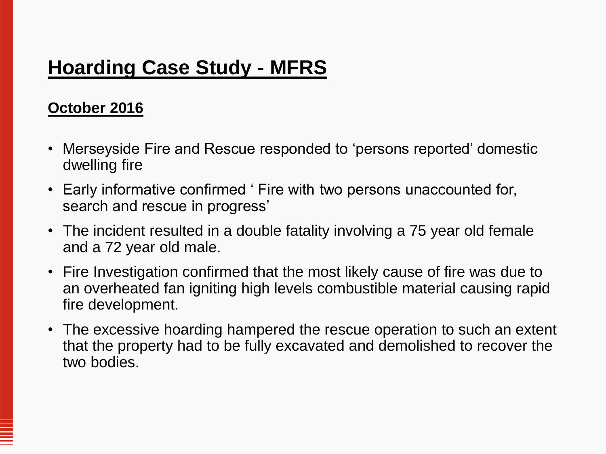## **Hoarding Case Study - MFRS**

#### **October 2016**

- Merseyside Fire and Rescue responded to 'persons reported' domestic dwelling fire
- Early informative confirmed ' Fire with two persons unaccounted for, search and rescue in progress'
- The incident resulted in a double fatality involving a 75 year old female and a 72 year old male.
- Fire Investigation confirmed that the most likely cause of fire was due to an overheated fan igniting high levels combustible material causing rapid fire development.
- The excessive hoarding hampered the rescue operation to such an extent that the property had to be fully excavated and demolished to recover the two bodies.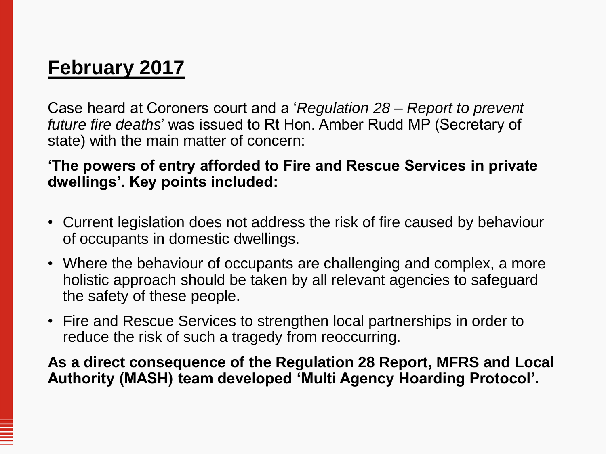# **February 2017**

Case heard at Coroners court and a '*Regulation 28 – Report to prevent future fire deaths*' was issued to Rt Hon. Amber Rudd MP (Secretary of state) with the main matter of concern:

#### **'The powers of entry afforded to Fire and Rescue Services in private dwellings'. Key points included:**

- Current legislation does not address the risk of fire caused by behaviour of occupants in domestic dwellings.
- Where the behaviour of occupants are challenging and complex, a more holistic approach should be taken by all relevant agencies to safeguard the safety of these people.
- Fire and Rescue Services to strengthen local partnerships in order to reduce the risk of such a tragedy from reoccurring.

**As a direct consequence of the Regulation 28 Report, MFRS and Local Authority (MASH) team developed 'Multi Agency Hoarding Protocol'.**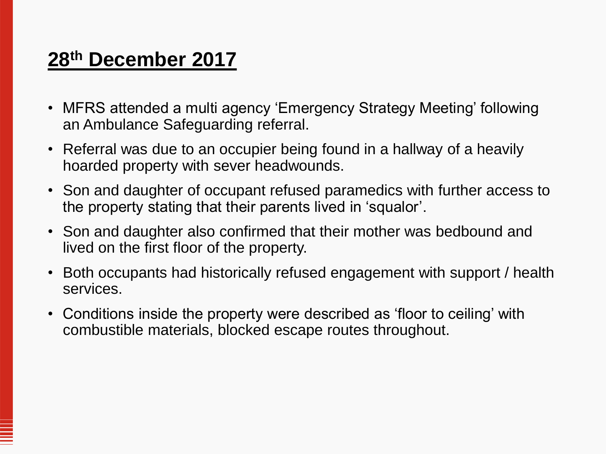# **28th December 2017**

- MFRS attended a multi agency 'Emergency Strategy Meeting' following an Ambulance Safeguarding referral.
- Referral was due to an occupier being found in a hallway of a heavily hoarded property with sever headwounds.
- Son and daughter of occupant refused paramedics with further access to the property stating that their parents lived in 'squalor'.
- Son and daughter also confirmed that their mother was bedbound and lived on the first floor of the property.
- Both occupants had historically refused engagement with support / health services.
- Conditions inside the property were described as 'floor to ceiling' with combustible materials, blocked escape routes throughout.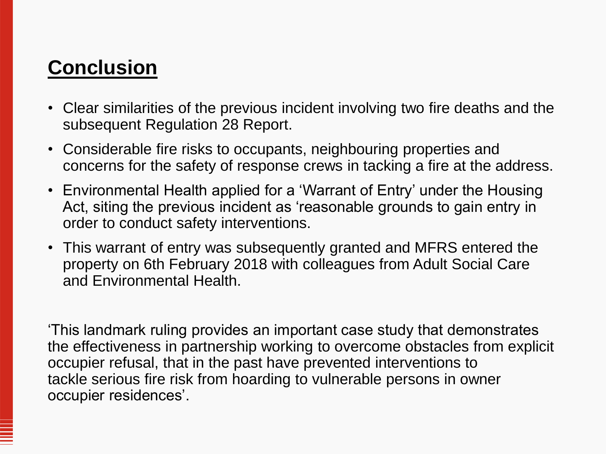# **Conclusion**

- Clear similarities of the previous incident involving two fire deaths and the subsequent Regulation 28 Report.
- Considerable fire risks to occupants, neighbouring properties and concerns for the safety of response crews in tacking a fire at the address.
- Environmental Health applied for a 'Warrant of Entry' under the Housing Act, siting the previous incident as 'reasonable grounds to gain entry in order to conduct safety interventions.
- This warrant of entry was subsequently granted and MFRS entered the property on 6th February 2018 with colleagues from Adult Social Care and Environmental Health.

'This landmark ruling provides an important case study that demonstrates the effectiveness in partnership working to overcome obstacles from explicit occupier refusal, that in the past have prevented interventions to tackle serious fire risk from hoarding to vulnerable persons in owner occupier residences'.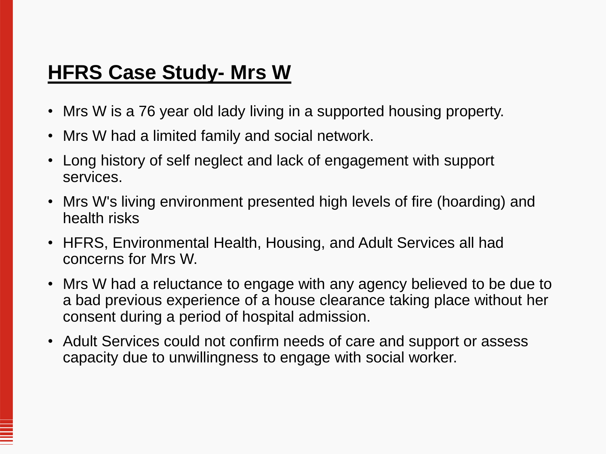### **HFRS Case Study- Mrs W**

- Mrs W is a 76 year old lady living in a supported housing property.
- Mrs W had a limited family and social network.
- Long history of self neglect and lack of engagement with support services.
- Mrs W's living environment presented high levels of fire (hoarding) and health risks
- HFRS, Environmental Health, Housing, and Adult Services all had concerns for Mrs W.
- Mrs W had a reluctance to engage with any agency believed to be due to a bad previous experience of a house clearance taking place without her consent during a period of hospital admission.
- Adult Services could not confirm needs of care and support or assess capacity due to unwillingness to engage with social worker.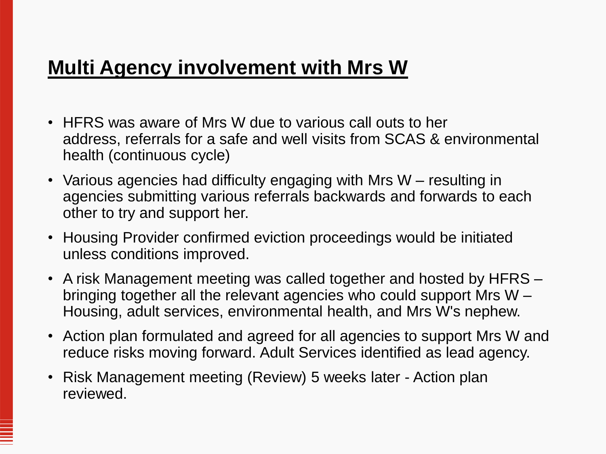# **Multi Agency involvement with Mrs W**

- HFRS was aware of Mrs W due to various call outs to her address, referrals for a safe and well visits from SCAS & environmental health (continuous cycle)
- Various agencies had difficulty engaging with Mrs W resulting in agencies submitting various referrals backwards and forwards to each other to try and support her.
- Housing Provider confirmed eviction proceedings would be initiated unless conditions improved.
- A risk Management meeting was called together and hosted by HFRS bringing together all the relevant agencies who could support Mrs W – Housing, adult services, environmental health, and Mrs W's nephew.
- Action plan formulated and agreed for all agencies to support Mrs W and reduce risks moving forward. Adult Services identified as lead agency.
- Risk Management meeting (Review) 5 weeks later Action plan reviewed.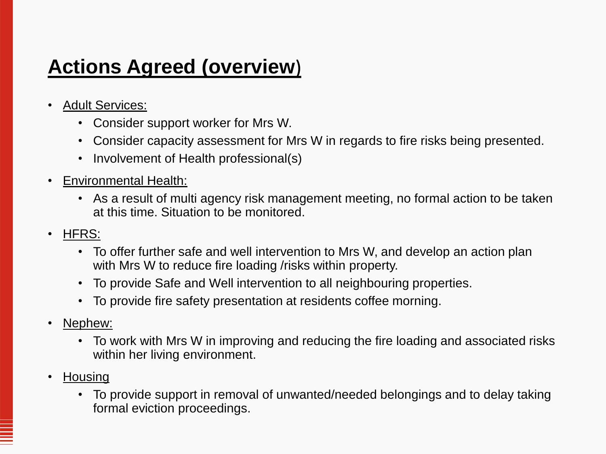# **Actions Agreed (overview**)

- Adult Services:
	- Consider support worker for Mrs W.
	- Consider capacity assessment for Mrs W in regards to fire risks being presented.
	- Involvement of Health professional(s)
- Environmental Health:
	- As a result of multi agency risk management meeting, no formal action to be taken at this time. Situation to be monitored.
- HFRS:
	- To offer further safe and well intervention to Mrs W, and develop an action plan with Mrs W to reduce fire loading /risks within property.
	- To provide Safe and Well intervention to all neighbouring properties.
	- To provide fire safety presentation at residents coffee morning.
- Nephew:
	- To work with Mrs W in improving and reducing the fire loading and associated risks within her living environment.
- Housing
	- To provide support in removal of unwanted/needed belongings and to delay taking formal eviction proceedings.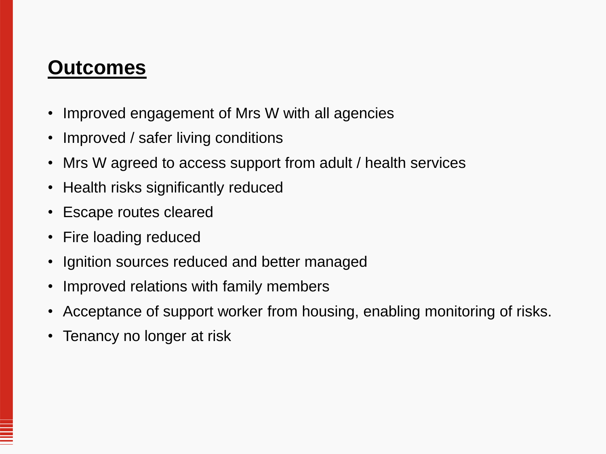#### **Outcomes**

- Improved engagement of Mrs W with all agencies
- Improved / safer living conditions
- Mrs W agreed to access support from adult / health services
- Health risks significantly reduced
- Escape routes cleared
- Fire loading reduced
- Ignition sources reduced and better managed
- Improved relations with family members
- Acceptance of support worker from housing, enabling monitoring of risks.
- Tenancy no longer at risk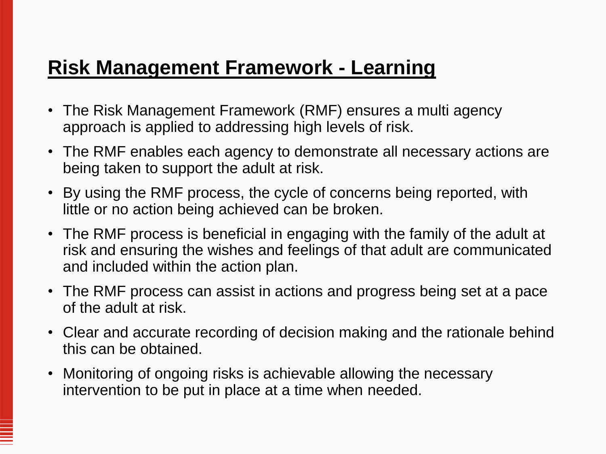# **Risk Management Framework - Learning**

- The Risk Management Framework (RMF) ensures a multi agency approach is applied to addressing high levels of risk.
- The RMF enables each agency to demonstrate all necessary actions are being taken to support the adult at risk.
- By using the RMF process, the cycle of concerns being reported, with little or no action being achieved can be broken.
- The RMF process is beneficial in engaging with the family of the adult at risk and ensuring the wishes and feelings of that adult are communicated and included within the action plan.
- The RMF process can assist in actions and progress being set at a pace of the adult at risk.
- Clear and accurate recording of decision making and the rationale behind this can be obtained.
- Monitoring of ongoing risks is achievable allowing the necessary intervention to be put in place at a time when needed.